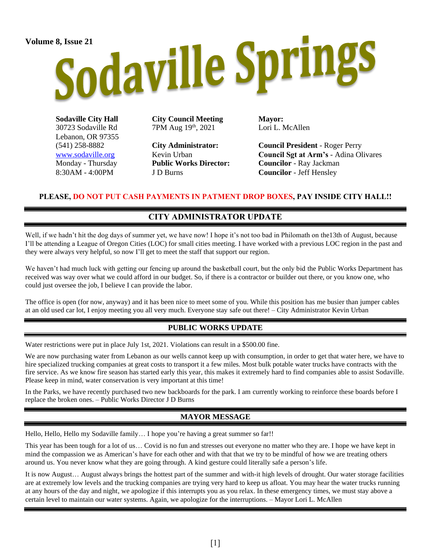# Volume 8, Issue 21<br>Sodaville Springs

**Sodaville City Hall** 30723 Sodaville Rd Lebanon, OR 97355 (541) 258-8882 [www.sodaville.org](http://www.sodaville.org/) Monday - Thursday 8:30AM - 4:00PM

**City Council Meeting** 7PM Aug 19th, 2021

**City Administrator:** Kevin Urban **Public Works Director:** J D Burns

**Mayor:** Lori L. McAllen

**Council President** - Roger Perry **Council Sgt at Arm's** - Adina Olivares **Councilor** - Ray Jackman **Councilor** - Jeff Hensley

### **PLEASE, DO NOT PUT CASH PAYMENTS IN PATMENT DROP BOXES, PAY INSIDE CITY HALL!!**

## **CITY ADMINISTRATOR UPDATE**

Well, if we hadn't hit the dog days of summer yet, we have now! I hope it's not too bad in Philomath on the13th of August, because I'll be attending a League of Oregon Cities (LOC) for small cities meeting. I have worked with a previous LOC region in the past and they were always very helpful, so now I'll get to meet the staff that support our region.

We haven't had much luck with getting our fencing up around the basketball court, but the only bid the Public Works Department has received was way over what we could afford in our budget. So, if there is a contractor or builder out there, or you know one, who could just oversee the job, I believe I can provide the labor.

The office is open (for now, anyway) and it has been nice to meet some of you. While this position has me busier than jumper cables at an old used car lot, I enjoy meeting you all very much. Everyone stay safe out there! – City Administrator Kevin Urban

### **PUBLIC WORKS UPDATE**

Water restrictions were put in place July 1st, 2021. Violations can result in a \$500.00 fine.

We are now purchasing water from Lebanon as our wells cannot keep up with consumption, in order to get that water here, we have to hire specialized trucking companies at great costs to transport it a few miles. Most bulk potable water trucks have contracts with the fire service. As we know fire season has started early this year, this makes it extremely hard to find companies able to assist Sodaville. Please keep in mind, water conservation is very important at this time!

In the Parks, we have recently purchased two new backboards for the park. I am currently working to reinforce these boards before I replace the broken ones. – Public Works Director J D Burns

### **MAYOR MESSAGE**

Hello, Hello, Hello my Sodaville family… I hope you're having a great summer so far!!

This year has been tough for a lot of us… Covid is no fun and stresses out everyone no matter who they are. I hope we have kept in mind the compassion we as American's have for each other and with that that we try to be mindful of how we are treating others around us. You never know what they are going through. A kind gesture could literally safe a person's life.

It is now August… August always brings the hottest part of the summer and with-it high levels of drought. Our water storage facilities are at extremely low levels and the trucking companies are trying very hard to keep us afloat. You may hear the water trucks running at any hours of the day and night, we apologize if this interrupts you as you relax. In these emergency times, we must stay above a certain level to maintain our water systems. Again, we apologize for the interruptions. – Mayor Lori L. McAllen